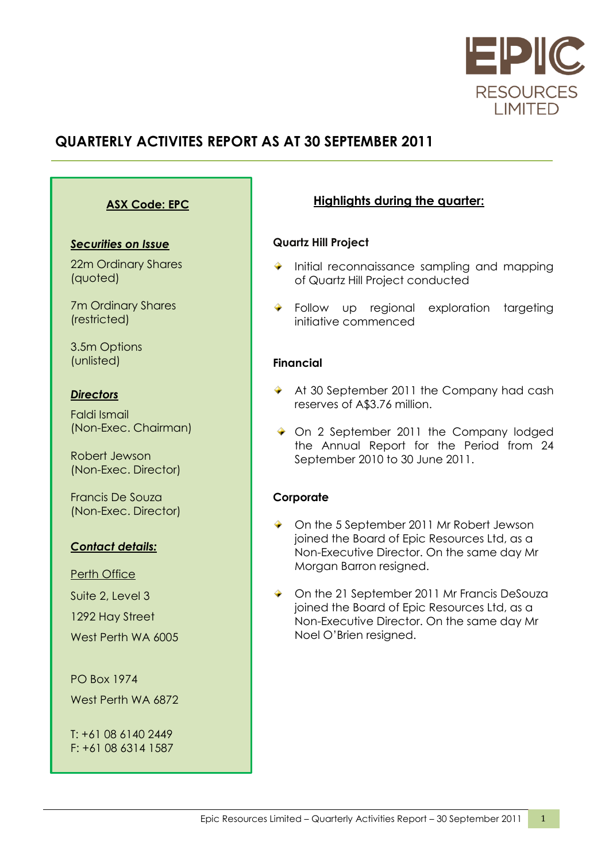

# **QUARTERLY ACTIVITES REPORT AS AT 30 SEPTEMBER 2011**

### **ASX Code: EPC**

### *Securities on Issue*

22m Ordinary Shares (quoted)

7m Ordinary Shares (restricted)

3.5m Options (unlisted)

### *Directors*

Faldi Ismail (Non-Exec. Chairman)

Robert Jewson (Non-Exec. Director)

Francis De Souza (Non-Exec. Director)

### *Contact details:*

#### Perth Office

Suite 2, Level 3 1292 Hay Street West Perth WA 6005

PO Box 1974 West Perth WA 6872

T: +61 08 6140 2449 F: +61 08 6314 1587

### **Highlights during the quarter:**

### **Quartz Hill Project**

- $\bullet$  Initial reconnaissance sampling and mapping of Quartz Hill Project conducted
- **Follow** up regional exploration targeting initiative commenced

### **Financial**

- ◆ At 30 September 2011 the Company had cash reserves of A\$3.76 million.
- On 2 September 2011 the Company lodged the Annual Report for the Period from 24 September 2010 to 30 June 2011.

### **Corporate**

- On the 5 September 2011 Mr Robert Jewson joined the Board of Epic Resources Ltd, as a Non-Executive Director. On the same day Mr Morgan Barron resigned.
- ◆ On the 21 September 2011 Mr Francis DeSouza joined the Board of Epic Resources Ltd, as a Non-Executive Director. On the same day Mr Noel O"Brien resigned.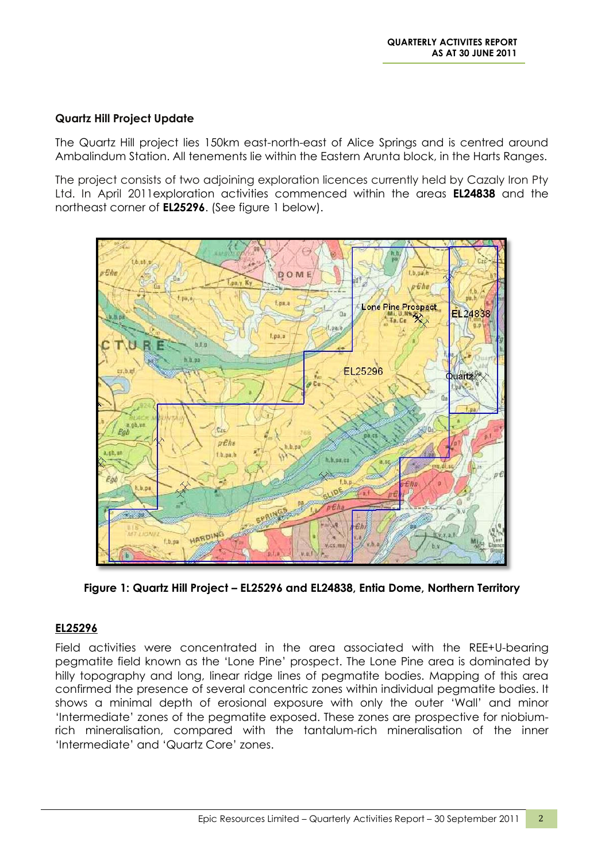### **Quartz Hill Project Update**

The Quartz Hill project lies 150km east-north-east of Alice Springs and is centred around Ambalindum Station. All tenements lie within the Eastern Arunta block, in the Harts Ranges.

The project consists of two adjoining exploration licences currently held by Cazaly Iron Pty Ltd. In April 2011exploration activities commenced within the areas **EL24838** and the northeast corner of **EL25296**. (See figure 1 below).



**Figure 1: Quartz Hill Project – EL25296 and EL24838, Entia Dome, Northern Territory**

### **EL25296**

Field activities were concentrated in the area associated with the REE+U-bearing pegmatite field known as the "Lone Pine" prospect. The Lone Pine area is dominated by hilly topography and long, linear ridge lines of pegmatite bodies. Mapping of this area confirmed the presence of several concentric zones within individual pegmatite bodies. It shows a minimal depth of erosional exposure with only the outer "Wall" and minor "Intermediate" zones of the pegmatite exposed. These zones are prospective for niobiumrich mineralisation, compared with the tantalum-rich mineralisation of the inner "Intermediate" and "Quartz Core" zones.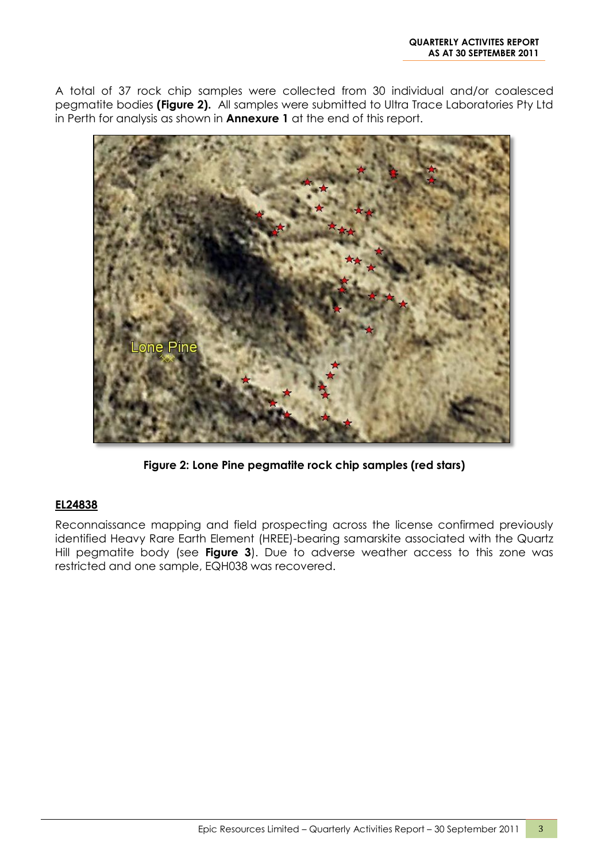A total of 37 rock chip samples were collected from 30 individual and/or coalesced pegmatite bodies **(Figure 2).** All samples were submitted to Ultra Trace Laboratories Pty Ltd in Perth for analysis as shown in **Annexure 1** at the end of this report.



**Figure 2: Lone Pine pegmatite rock chip samples (red stars)**

### **EL24838**

Reconnaissance mapping and field prospecting across the license confirmed previously identified Heavy Rare Earth Element (HREE)-bearing samarskite associated with the Quartz Hill pegmatite body (see **Figure 3**). Due to adverse weather access to this zone was restricted and one sample, EQH038 was recovered.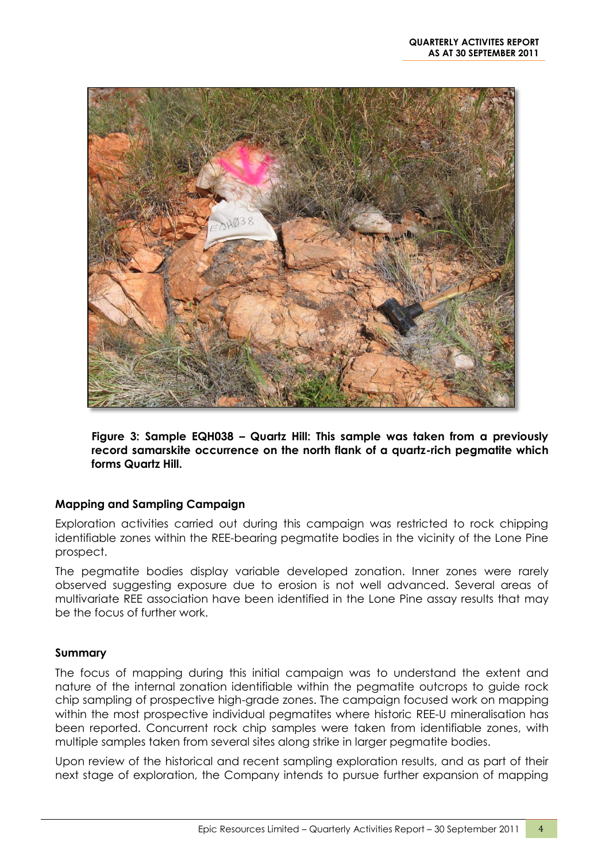

**Figure 3: Sample EQH038 – Quartz Hill: This sample was taken from a previously record samarskite occurrence on the north flank of a quartz-rich pegmatite which forms Quartz Hill.**

### **Mapping and Sampling Campaign**

Exploration activities carried out during this campaign was restricted to rock chipping identifiable zones within the REE-bearing pegmatite bodies in the vicinity of the Lone Pine prospect.

The pegmatite bodies display variable developed zonation. Inner zones were rarely observed suggesting exposure due to erosion is not well advanced. Several areas of multivariate REE association have been identified in the Lone Pine assay results that may be the focus of further work.

### **Summary**

The focus of mapping during this initial campaign was to understand the extent and nature of the internal zonation identifiable within the pegmatite outcrops to guide rock chip sampling of prospective high-grade zones. The campaign focused work on mapping within the most prospective individual pegmatites where historic REE-U mineralisation has been reported. Concurrent rock chip samples were taken from identifiable zones, with multiple samples taken from several sites along strike in larger pegmatite bodies.

Upon review of the historical and recent sampling exploration results, and as part of their next stage of exploration, the Company intends to pursue further expansion of mapping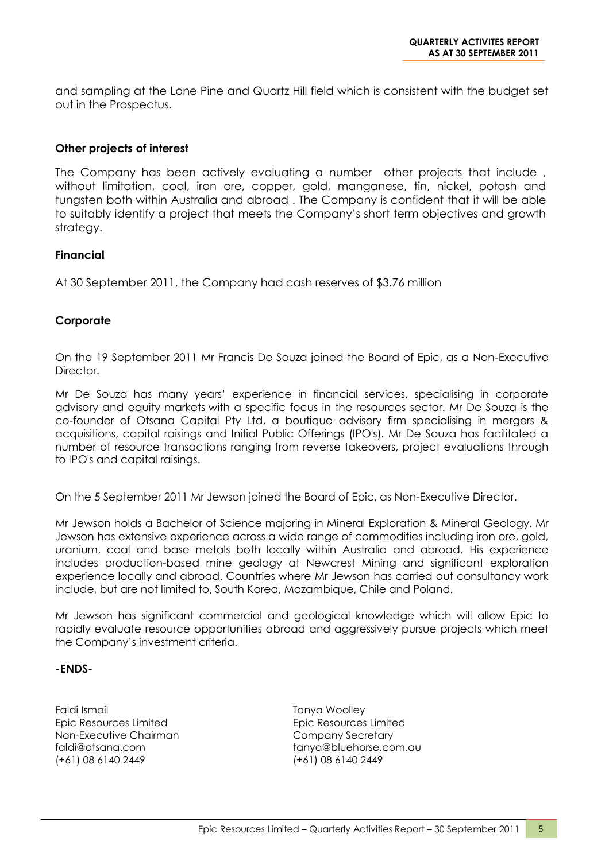and sampling at the Lone Pine and Quartz Hill field which is consistent with the budget set out in the Prospectus.

#### **Other projects of interest**

The Company has been actively evaluating a number other projects that include, without limitation, coal, iron ore, copper, gold, manganese, tin, nickel, potash and tungsten both within Australia and abroad . The Company is confident that it will be able to suitably identify a project that meets the Company"s short term objectives and growth strategy.

#### **Financial**

At 30 September 2011, the Company had cash reserves of \$3.76 million

### **Corporate**

On the 19 September 2011 Mr Francis De Souza joined the Board of Epic, as a Non-Executive Director.

Mr De Souza has many years" experience in financial services, specialising in corporate advisory and equity markets with a specific focus in the resources sector. Mr De Souza is the co-founder of Otsana Capital Pty Ltd, a boutique advisory firm specialising in mergers & acquisitions, capital raisings and Initial Public Offerings (IPO's). Mr De Souza has facilitated a number of resource transactions ranging from reverse takeovers, project evaluations through to IPO's and capital raisings.

On the 5 September 2011 Mr Jewson joined the Board of Epic, as Non-Executive Director.

Mr Jewson holds a Bachelor of Science majoring in Mineral Exploration & Mineral Geology. Mr Jewson has extensive experience across a wide range of commodities including iron ore, gold, uranium, coal and base metals both locally within Australia and abroad. His experience includes production-based mine geology at Newcrest Mining and significant exploration experience locally and abroad. Countries where Mr Jewson has carried out consultancy work include, but are not limited to, South Korea, Mozambique, Chile and Poland.

Mr Jewson has significant commercial and geological knowledge which will allow Epic to rapidly evaluate resource opportunities abroad and aggressively pursue projects which meet the Company"s investment criteria.

#### **-ENDS-**

Faldi Ismail Epic Resources Limited Non-Executive Chairman faldi@otsana.com (+61) 08 6140 2449

Tanya Woolley Epic Resources Limited Company Secretary tanya@bluehorse.com.au (+61) 08 6140 2449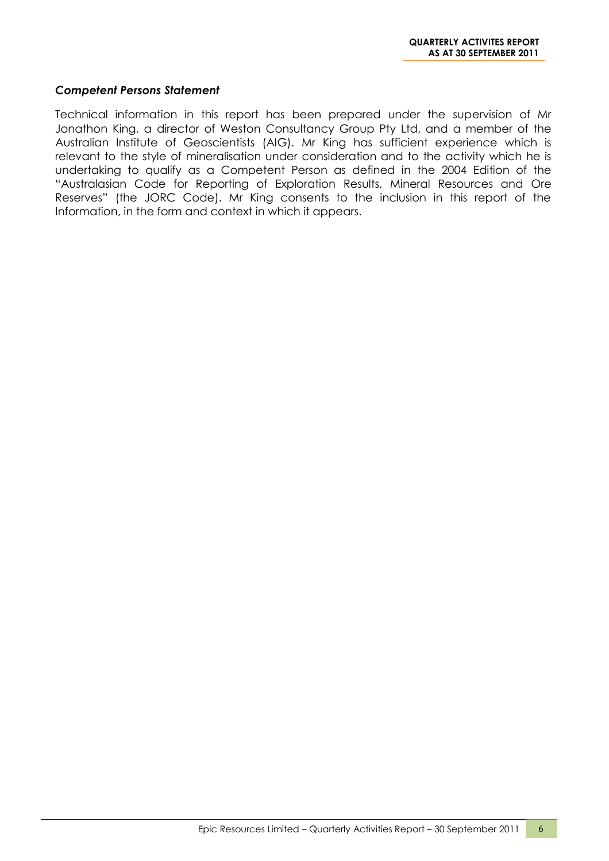#### *Competent Persons Statement*

Technical information in this report has been prepared under the supervision of Mr Jonathon King, a director of Weston Consultancy Group Pty Ltd, and a member of the Australian Institute of Geoscientists (AIG). Mr King has sufficient experience which is relevant to the style of mineralisation under consideration and to the activity which he is undertaking to qualify as a Competent Person as defined in the 2004 Edition of the "Australasian Code for Reporting of Exploration Results, Mineral Resources and Ore Reserves" (the JORC Code). Mr King consents to the inclusion in this report of the Information, in the form and context in which it appears.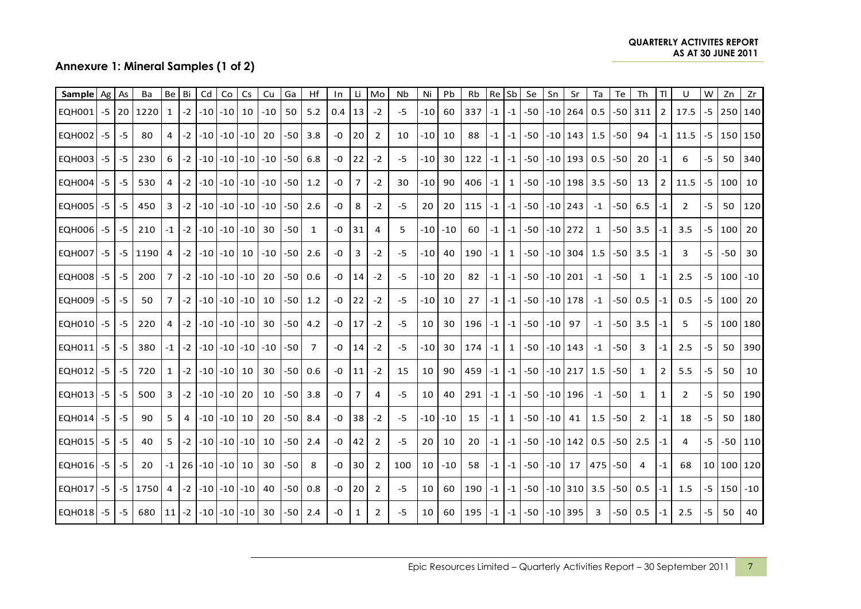|                            |      | Annexure 1: Mineral Samples (1 of 2) |                    |                       |         |       |                                        |    |             |          |                |           |                |                |            | <b>QUARTERLY ACTIVITES REPORT</b><br><b>AS AT 30 JUNE 2011</b> |          |           |               |         |             |       |                 |              |           |              |                             |                |           |                  |           |
|----------------------------|------|--------------------------------------|--------------------|-----------------------|---------|-------|----------------------------------------|----|-------------|----------|----------------|-----------|----------------|----------------|------------|----------------------------------------------------------------|----------|-----------|---------------|---------|-------------|-------|-----------------|--------------|-----------|--------------|-----------------------------|----------------|-----------|------------------|-----------|
|                            |      |                                      |                    |                       |         |       |                                        |    |             |          |                |           |                |                |            |                                                                |          |           |               |         |             |       |                 |              |           |              |                             |                |           |                  |           |
| Sample   Ag   As<br>EQH001 |      |                                      | Ba<br>$-5$ 20 1220 | Be Bi<br>$\mathbf{1}$ | $-2$    | Cd    | $\mathsf{Co}\xspace$<br>$-10$ $-10$ 10 | Cs | Cu<br>$-10$ | Ga<br>50 | Hf<br>5.2      | In<br>0.4 | Li<br>13       | Mo<br>$-2$     | Nb<br>$-5$ | Ni<br>$-10$                                                    | Pb<br>60 | Rb<br>337 | Re Sb<br>$-1$ | $-1$    | Se<br>$-50$ | Sn    | Sr<br>$-10$ 264 | Ta<br>0.5    | Te<br>-50 | Th<br>311    | <b>TI</b><br>$\overline{2}$ | U<br>17.5      | W<br>$-5$ | Zn<br>250 140    | Zr        |
| EQH002                     | $-5$ | -5                                   | 80                 | 4                     | $-2$    |       | $-10$ $-10$ $-10$                      |    | 20          | -50      | 3.8            | -0        | 20             | $\overline{2}$ | 10         | -10                                                            | 10       | 88        | -1            | $-1$    | -50         |       | $-10$  143 1.5  |              | -50       | 94           | -1                          | 11.5           |           | $-5$   150   150 |           |
| <b>EQH003</b>              | $-5$ | -5                                   | 230                | 6                     | $-2$    |       | $-10$ $-10$ $-10$ $-10$                |    |             | -50      | 6.8            | -0        | 22             | $-2$           | $-5$       | -10 l                                                          | 30       | 122       | -1            | $-1$    | $-50$       |       | $-10$ 193       | 0.5          | -50       | 20           | -1                          | 6              | -5        | 50               | 340       |
| <b>EQH004</b>              | $-5$ | -5                                   | 530                | 4                     | $-2$    |       | $-10$ $-10$ $-10$ $-10$                |    |             | -50      | 1.2            | $-0$      | 7              | $-2$           | 30         | $-10$                                                          | 90       | 406       | $-1$          | 1       | -50         |       | $-10$ 198       | 3.5          | -50       | 13           | 2                           | 11.5           | $-5$      | 100              | 10        |
| <b>EQH005</b>              | $-5$ | -5                                   | 450                | 3                     | $-2$    |       | $-10$ $-10$ $-10$                      |    | $-10$       | -50      | 2.6            | -0        | 8              | $-2$           | $-5$       | 20                                                             | 20       | 115       | -1            | $-1$    | $-50$       |       | $-10$ 243       | $-1$         | -50       | 6.5          | -1                          | $\overline{2}$ | -5        | 50               | 120       |
| <b>EQH006</b>              | $-5$ | -5                                   | 210                | $-1$                  | $-2$    |       | -10 -10 -10                            |    | 30          | -50      | 1              | -0        | 31             | 4              | 5          | -10                                                            | $-10$    | 60        | -1            | $-1$    | -50         |       | -10   272       | $\mathbf{1}$ | -50       | 3.5          | -1                          | 3.5            |           | -5   100         | 20        |
| <b>EQH007</b>              | $-5$ | -5                                   | 1190               | 4                     | $-2$    |       | -10 -10   10                           |    | $-10$       | -50      | 2.6            | -0        | 3              | $-2$           | $-5$       | -10 l                                                          | 40       | 190       | -1            | 1       | -50         |       | $-10$ 304       | 1.5          | -50       | 3.5          | -1                          | 3              | -5        | -50              | 30        |
| <b>EQH008</b>              | $-5$ | -5                                   | 200                | 7                     | $-2$    |       | $-10$ $-10$ $-10$                      |    | 20          | -50      | 0.6            | -0        | 14             | $-2$           | -5         | $-10$                                                          | 20       | 82        | -1            | -1      | -50         |       | -10   201       | $-1$         | -50       | 1            | -1                          | 2.5            | -5        | 100              | -10       |
| <b>EQH009</b>              | $-5$ | -5                                   | 50                 | $\overline{7}$        | $-2$    |       | $-10$ $-10$ $-10$                      |    | 10          | -50      | 1.2            | -0        | 22             | $-2$           | $-5$       | -10                                                            | 10       | 27        | $-1$          | $-1$    | -50         |       | -10   178       | $-1$         | -50 l     | 0.5          | -1                          | 0.5            |           | $-5$   100       | 20        |
| EQH010                     | $-5$ | -5                                   | 220                | 4                     | $-2$    |       | $-10$ $-10$ $-10$ $ $                  |    | 30          | -50      | 4.2            | -0        | 17             | $-2$           | $-5$       | 10                                                             | 30       | 196       | -1            | -1      | -50         | -10   | 97              | $-1$         | -50       | 3.5          | -1                          | 5              | -5        | 100 180          |           |
| EQH011                     | $-5$ | -5                                   | 380                | $-1$                  | $-2$    |       | $-10$ $-10$ $-10$ $-10$                |    |             | -50      | $\overline{7}$ | -0        | 14             | $-2$           | $-5$       | $-10$                                                          | 30       | 174       | $-1$          | 1       | -50         |       | $-10$ 143       | $-1$         | -50       | 3            | -1                          | 2.5            | -5        | 50               | 390       |
| <b>EQH012</b>              | -5   | -5                                   | 720                | 1                     | $-2$    |       | $-10$ $-10$ 10                         |    | 30          | -50      | 0.6            | -0        | 11             | $-2$           | 15         | 10                                                             | 90       | 459       |               | -1   -1 | $-50$       |       | $-10$ 217       | 1.5          | -50       | 1            | $\overline{2}$              | 5.5            | -5        | 50               | 10        |
| EQH013                     | $-5$ | -5                                   | 500                | 3                     | $-2$    |       | $-10$ $-10$                            | 20 | 10          | -50      | 3.8            | -0        | $\overline{7}$ | 4              | $-5$       | 10                                                             | 40       | 291       | $-1$          | $-1$    | -50         |       | $-10$  196      | $-1$         | -50       | $\mathbf{1}$ | $\mathbf{1}$                | $\overline{2}$ | -5        | 50               | 190       |
| EQH014                     | $-5$ | -5                                   | 90                 | 5                     | 4       | $-10$ | $-10$                                  | 10 | 20          | -50      | 8.4            | -0        | 38             | $-2$           | $-5$       | -10                                                            | $-10$    | 15        | -1            | 1       | -50         | -10   | 41              | 1.5          | -50       | 2            | -1                          | 18             | -5        | 50               | 180       |
| <b>EQH015</b>              | $-5$ | -5                                   | 40                 | 5                     | $-2$    |       | $-10$ $-10$ $-10$                      |    | 10          | -50      | 2.4            | -0        | 42             | 2              | $-5$       | 20                                                             | 10       | 20        | -1            | $-1$    | -50         |       | $-10$ 142       | 0.5          | -50       | 2.5          | -1                          | 4              | -5        |                  | -50   110 |
| EQH016                     | $-5$ | -5                                   | 20                 |                       | $-1$ 26 | $-10$ | $-10$ 10                               |    | 30          | -50      | 8              | $-0$      | 30             | $\overline{2}$ | 100        | 10 <sup>1</sup>                                                | $-10$    | 58        | -1            | $-1$    | -50         | -10 l | 17              | 475          | $-50$     | 4            | -1                          | 68             |           | 10 100 120       |           |
| <b>EQH017</b>              | -5   | -5                                   | 1750               | 4                     | $-2$    |       | $-10$ $-10$ $-10$                      |    | 40          | -50      | 0.8            | -0        | 20             | $\overline{2}$ | $-5$       | 10                                                             | 60       | 190       | -1            | $-1$    | -50         |       | $-10$ 310 3.5   |              | -50       | 0.5          | -1                          | 1.5            |           | $-5$   150 $-10$ |           |
| <b>EQH018</b>              | $-5$ | -5                                   | 680                | 11                    | $-2$    |       | $-10$ $-10$ $-10$                      |    | 30          | -50      | 2.4            | -0        | $\mathbf{1}$   | 2              | $-5$       | 10                                                             | 60       | 195       | $-1$          | $-1$    | $-50$       |       | $-10$ 395       | 3            | -50       | 0.5          | -1                          | 2.5            | -5        | 50               | 40        |